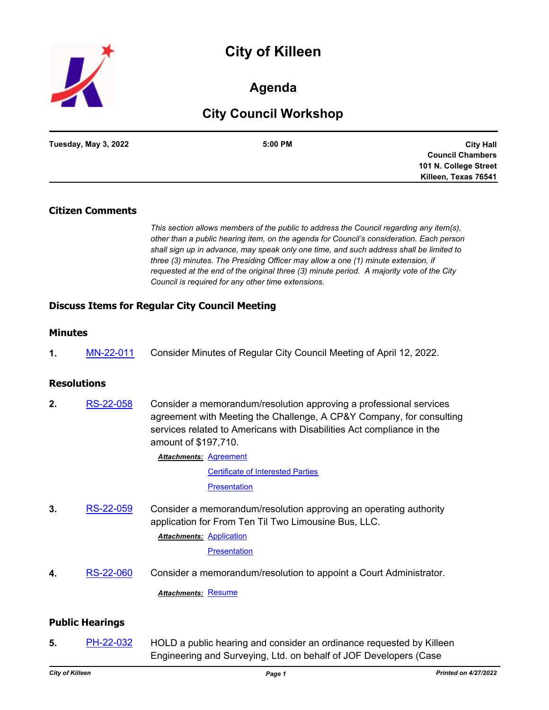# **City of Killeen**



# **Agenda**

# **City Council Workshop**

| Tuesday, May 3, 2022 | 5:00 PM | <b>City Hall</b>        |
|----------------------|---------|-------------------------|
|                      |         | <b>Council Chambers</b> |
|                      |         | 101 N. College Street   |
|                      |         | Killeen, Texas 76541    |

### **Citizen Comments**

*This section allows members of the public to address the Council regarding any item(s), other than a public hearing item, on the agenda for Council's consideration. Each person shall sign up in advance, may speak only one time, and such address shall be limited to three (3) minutes. The Presiding Officer may allow a one (1) minute extension, if requested at the end of the original three (3) minute period. A majority vote of the City Council is required for any other time extensions.*

# **Discuss Items for Regular City Council Meeting**

## **Minutes**

**1.** [MN-22-011](http://killeen.legistar.com/gateway.aspx?m=l&id=/matter.aspx?key=6094) Consider Minutes of Regular City Council Meeting of April 12, 2022.

# **Resolutions**

**2.** [RS-22-058](http://killeen.legistar.com/gateway.aspx?m=l&id=/matter.aspx?key=6086) Consider a memorandum/resolution approving a professional services agreement with Meeting the Challenge, A CP&Y Company, for consulting services related to Americans with Disabilities Act compliance in the amount of \$197,710.

> **Attachments: [Agreement](http://killeen.legistar.com/gateway.aspx?M=F&ID=2d7f0543-cbf3-4925-bc49-19ab191aacba.pdf)** [Certificate of Interested Parties](http://killeen.legistar.com/gateway.aspx?M=F&ID=50bfbc6d-7521-4991-aacb-bae475ac8ad6.pdf) **[Presentation](http://killeen.legistar.com/gateway.aspx?M=F&ID=4c7b4cbd-98a6-4905-a014-966c4717ea7e.pdf)**

**3.** [RS-22-059](http://killeen.legistar.com/gateway.aspx?m=l&id=/matter.aspx?key=6103) Consider a memorandum/resolution approving an operating authority application for From Ten Til Two Limousine Bus, LLC. **Attachments: [Application](http://killeen.legistar.com/gateway.aspx?M=F&ID=f7359e37-41ef-4399-9f72-18fd9f59417d.pdf)** 

**[Presentation](http://killeen.legistar.com/gateway.aspx?M=F&ID=e6e99fc0-4482-4f97-b772-213be3f1c609.pdf)** 

**4.** [RS-22-060](http://killeen.legistar.com/gateway.aspx?m=l&id=/matter.aspx?key=6127) Consider a memorandum/resolution to appoint a Court Administrator.

*Attachments:* [Resume](http://killeen.legistar.com/gateway.aspx?M=F&ID=8b56e06b-2684-42bd-b6b1-135402848919.pdf)

#### **Public Hearings**

**5.** [PH-22-032](http://killeen.legistar.com/gateway.aspx?m=l&id=/matter.aspx?key=6044) HOLD a public hearing and consider an ordinance requested by Killeen Engineering and Surveying, Ltd. on behalf of JOF Developers (Case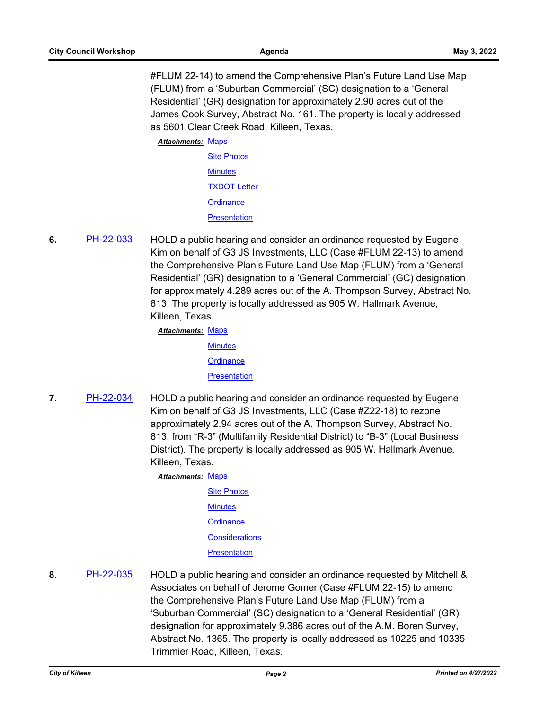#FLUM 22-14) to amend the Comprehensive Plan's Future Land Use Map (FLUM) from a 'Suburban Commercial' (SC) designation to a 'General Residential' (GR) designation for approximately 2.90 acres out of the James Cook Survey, Abstract No. 161. The property is locally addressed as 5601 Clear Creek Road, Killeen, Texas.

Attachments: [Maps](http://killeen.legistar.com/gateway.aspx?M=F&ID=cdb3b370-8d74-4ce2-9a41-d43e81843279.pdf)

- [Site Photos](http://killeen.legistar.com/gateway.aspx?M=F&ID=2654251c-9052-454f-99d8-1e6e390c0903.pdf) **[Minutes](http://killeen.legistar.com/gateway.aspx?M=F&ID=f3bf00f6-4672-4006-b275-d08d321bacee.pdf)** [TXDOT Letter](http://killeen.legistar.com/gateway.aspx?M=F&ID=6a8f2af7-3b64-441d-a124-5a1e9143bec0.pdf) **[Ordinance](http://killeen.legistar.com/gateway.aspx?M=F&ID=bd4237f0-7880-4c10-8810-ba077698d5d5.pdf) [Presentation](http://killeen.legistar.com/gateway.aspx?M=F&ID=702199c3-d94a-463e-88c5-79a99ac96589.pdf)**
- **6.** [PH-22-033](http://killeen.legistar.com/gateway.aspx?m=l&id=/matter.aspx?key=6042) HOLD a public hearing and consider an ordinance requested by Eugene Kim on behalf of G3 JS Investments, LLC (Case #FLUM 22-13) to amend the Comprehensive Plan's Future Land Use Map (FLUM) from a 'General Residential' (GR) designation to a 'General Commercial' (GC) designation for approximately 4.289 acres out of the A. Thompson Survey, Abstract No. 813. The property is locally addressed as 905 W. Hallmark Avenue, Killeen, Texas.

Attachments: [Maps](http://killeen.legistar.com/gateway.aspx?M=F&ID=a085aedc-cab2-4076-b89b-399155835728.pdf)

**[Minutes](http://killeen.legistar.com/gateway.aspx?M=F&ID=d0a29583-dfd5-432f-9750-528f36c3f153.pdf) [Ordinance](http://killeen.legistar.com/gateway.aspx?M=F&ID=e366c549-8370-4beb-8bdd-38e9ae8f8109.pdf) [Presentation](http://killeen.legistar.com/gateway.aspx?M=F&ID=0b502061-1589-4254-90e4-2391d6f91287.pdf)** 

**7.** [PH-22-034](http://killeen.legistar.com/gateway.aspx?m=l&id=/matter.aspx?key=6091) HOLD a public hearing and consider an ordinance requested by Eugene Kim on behalf of G3 JS Investments, LLC (Case #Z22-18) to rezone approximately 2.94 acres out of the A. Thompson Survey, Abstract No. 813, from "R-3" (Multifamily Residential District) to "B-3" (Local Business District). The property is locally addressed as 905 W. Hallmark Avenue, Killeen, Texas.

Attachments: [Maps](http://killeen.legistar.com/gateway.aspx?M=F&ID=0df796fa-54e8-4bbb-b9e9-ef77b28bbe4a.pdf)

- [Site Photos](http://killeen.legistar.com/gateway.aspx?M=F&ID=9f1372de-69d8-4f8a-bef6-339ba19ebc1b.pdf) **[Minutes](http://killeen.legistar.com/gateway.aspx?M=F&ID=f64fbd7e-33c0-4deb-8b40-e2f946d90179.pdf) [Ordinance](http://killeen.legistar.com/gateway.aspx?M=F&ID=b056a287-0331-4841-902c-0d29adc82a36.pdf) [Considerations](http://killeen.legistar.com/gateway.aspx?M=F&ID=21d46918-9f5e-40cc-bb8d-796d7da9b2ab.pdf) [Presentation](http://killeen.legistar.com/gateway.aspx?M=F&ID=e9c48e61-90c4-425c-9a41-fdcd4852e303.pdf)**
- **8.** [PH-22-035](http://killeen.legistar.com/gateway.aspx?m=l&id=/matter.aspx?key=6045) HOLD a public hearing and consider an ordinance requested by Mitchell & Associates on behalf of Jerome Gomer (Case #FLUM 22-15) to amend the Comprehensive Plan's Future Land Use Map (FLUM) from a 'Suburban Commercial' (SC) designation to a 'General Residential' (GR) designation for approximately 9.386 acres out of the A.M. Boren Survey, Abstract No. 1365. The property is locally addressed as 10225 and 10335 Trimmier Road, Killeen, Texas.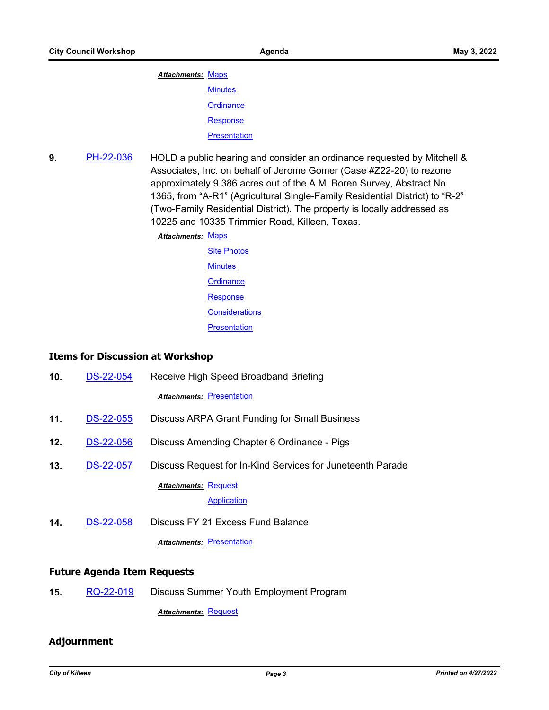## Attachments: [Maps](http://killeen.legistar.com/gateway.aspx?M=F&ID=a0dfe31e-6697-462a-af29-7b0645594421.pdf) **[Minutes](http://killeen.legistar.com/gateway.aspx?M=F&ID=352f159a-1680-48bd-a919-6c5ccdf4e50d.pdf)**

**[Ordinance](http://killeen.legistar.com/gateway.aspx?M=F&ID=410fea15-47d6-4f9d-80b7-9a6770650093.pdf)** 

[Response](http://killeen.legistar.com/gateway.aspx?M=F&ID=f4ea9235-0e22-45e0-9a4c-c7c3409ec397.pdf)

**[Presentation](http://killeen.legistar.com/gateway.aspx?M=F&ID=93caf825-2fc6-4809-b2a6-fd263a3a817d.pdf)** 

**9.** [PH-22-036](http://killeen.legistar.com/gateway.aspx?m=l&id=/matter.aspx?key=6046) HOLD a public hearing and consider an ordinance requested by Mitchell & Associates, Inc. on behalf of Jerome Gomer (Case #Z22-20) to rezone approximately 9.386 acres out of the A.M. Boren Survey, Abstract No. 1365, from "A-R1" (Agricultural Single-Family Residential District) to "R-2" (Two-Family Residential District). The property is locally addressed as 10225 and 10335 Trimmier Road, Killeen, Texas.

**Attachments: [Maps](http://killeen.legistar.com/gateway.aspx?M=F&ID=4a2c38a1-7e02-4224-a5a9-771df75d531b.pdf)** 

[Site Photos](http://killeen.legistar.com/gateway.aspx?M=F&ID=c58b6250-b0d6-45d0-921d-589cbc742c2c.pdf) **[Minutes](http://killeen.legistar.com/gateway.aspx?M=F&ID=69b0c0ac-dfb0-477f-86f4-7024b9849973.pdf) [Ordinance](http://killeen.legistar.com/gateway.aspx?M=F&ID=d389b1b4-e3d2-4e51-ab43-18a8426b4f22.pdf)** [Response](http://killeen.legistar.com/gateway.aspx?M=F&ID=36c29fba-2e40-43f7-8896-ab7842545919.pdf) **[Considerations](http://killeen.legistar.com/gateway.aspx?M=F&ID=cd9f68cf-1d88-4665-8f04-b1cd868cb1e3.pdf) [Presentation](http://killeen.legistar.com/gateway.aspx?M=F&ID=0c73e6ca-6ff1-4acd-a1c5-5ed03080a5af.pdf)** 

#### **Items for Discussion at Workshop**

| 10 <sub>1</sub> | <b>DS-22-054</b> | Receive High Speed Broadband Briefing                      |
|-----------------|------------------|------------------------------------------------------------|
|                 |                  | <b>Attachments: Presentation</b>                           |
| 11.             | <b>DS-22-055</b> | Discuss ARPA Grant Funding for Small Business              |
| 12.             | <b>DS-22-056</b> | Discuss Amending Chapter 6 Ordinance - Pigs                |
| 13.             | <b>DS-22-057</b> | Discuss Request for In-Kind Services for Juneteenth Parade |
|                 |                  | <b>Attachments: Request</b><br>Application                 |
| 14.             | <b>DS-22-058</b> | Discuss FY 21 Excess Fund Balance                          |
|                 |                  | <b>Attachments: Presentation</b>                           |

#### **Future Agenda Item Requests**

**15.** [RQ-22-019](http://killeen.legistar.com/gateway.aspx?m=l&id=/matter.aspx?key=6121) Discuss Summer Youth Employment Program

*Attachments:* [Request](http://killeen.legistar.com/gateway.aspx?M=F&ID=567a162d-ead8-456c-a663-24d3fc99b963.pdf)

# **Adjournment**